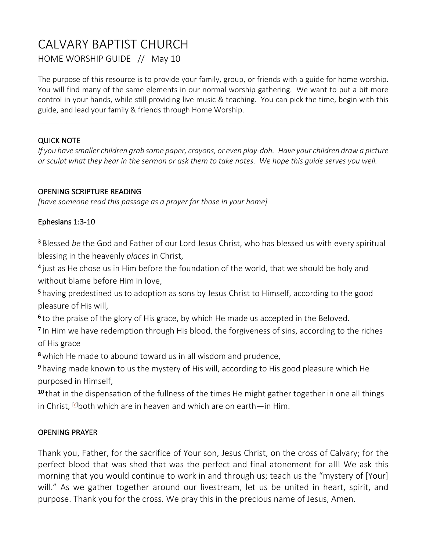# CALVARY BAPTIST CHURCH HOME WORSHIP GUIDE // May 10

The purpose of this resource is to provide your family, group, or friends with a guide for home worship. You will find many of the same elements in our normal worship gathering. We want to put a bit more control in your hands, while still providing live music & teaching. You can pick the time, begin with this guide, and lead your family & friends through Home Worship.

\_\_\_\_\_\_\_\_\_\_\_\_\_\_\_\_\_\_\_\_\_\_\_\_\_\_\_\_\_\_\_\_\_\_\_\_\_\_\_\_\_\_\_\_\_\_\_\_\_\_\_\_\_\_\_\_\_\_\_\_\_\_\_\_\_\_\_\_\_\_\_\_\_\_\_\_\_\_\_\_\_\_\_\_

## QUICK NOTE

If you have smaller children grab some paper, crayons, or even play-doh. Have your children draw a picture or sculpt what they hear in the sermon or ask them to take notes. We hope this quide serves you well.

\_\_\_\_\_\_\_\_\_\_\_\_\_\_\_\_\_\_\_\_\_\_\_\_\_\_\_\_\_\_\_\_\_\_\_\_\_\_\_\_\_\_\_\_\_\_\_\_\_\_\_\_\_\_\_\_\_\_\_\_\_\_\_\_\_\_\_\_\_\_\_\_\_\_\_\_\_\_\_\_\_\_\_\_

## OPENING SCRIPTURE READING

*[have someone read this passage as a prayer for those in your home]*

## Ephesians 1:3-10

3 Blessed *be* the God and Father of our Lord Jesus Christ, who has blessed us with every spiritual blessing in the heavenly *places* in Christ,

<sup>4</sup> just as He chose us in Him before the foundation of the world, that we should be holy and without blame before Him in love,

<sup>5</sup> having predestined us to adoption as sons by Jesus Christ to Himself, according to the good pleasure of His will,

<sup>6</sup> to the praise of the glory of His grace, by which He made us accepted in the Beloved.

<sup>7</sup> In Him we have redemption through His blood, the forgiveness of sins, according to the riches of His grace

<sup>8</sup> which He made to abound toward us in all wisdom and prudence,

<sup>9</sup> having made known to us the mystery of His will, according to His good pleasure which He purposed in Himself,

<sup>10</sup> that in the dispensation of the fullness of the times He might gather together in one all things in Christ, **C**both which are in heaven and which are on earth—in Him.

## OPENING PRAYER

Thank you, Father, for the sacrifice of Your son, Jesus Christ, on the cross of Calvary; for the perfect blood that was shed that was the perfect and final atonement for all! We ask this morning that you would continue to work in and through us; teach us the "mystery of [Your] will." As we gather together around our livestream, let us be united in heart, spirit, and purpose. Thank you for the cross. We pray this in the precious name of Jesus, Amen.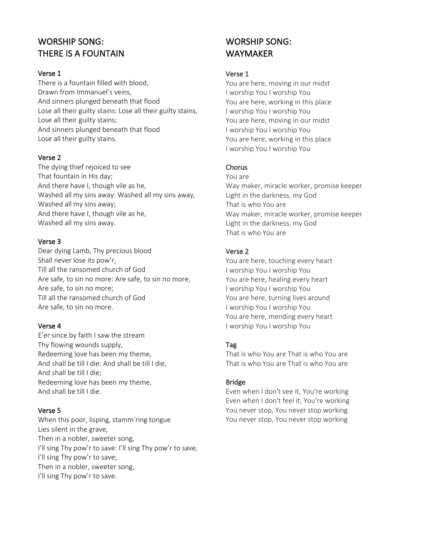## WORSHIP SONG: THERE IS A FOUNTAIN

#### Verse 1

There is a fountain filled with blood, Drawn from Immanuel's veins, And sinners plunged beneath that flood Lose all their guilty stains: Lose all their guilty stains, Lose all their guilty stains; And sinners plunged beneath that flood Lose all their guilty stains.

#### Verse 2

The dying thief rejoiced to see That fountain in His day; And there have I, though vile as he, Washed all my sins away: Washed all my sins away, Washed all my sins away; And there have I, though vile as he, Washed all my sins away.

#### Verse 3

Dear dying Lamb, Thy precious blood Shall never lose its pow'r, Till all the ransomed church of God Are safe, to sin no more: Are safe, to sin no more, Are safe, to sin no more; Till all the ransomed church of God Are safe, to sin no more.

#### Verse 4

E'er since by faith I saw the stream Thy flowing wounds supply, Redeeming love has been my theme, And shall be till I die: And shall be till I die, And shall be till I die; Redeeming love has been my theme, And shall be till I die.

#### Verse 5

When this poor, lisping, stamm'ring tongue Lies silent in the grave, Then in a nobler, sweeter song, I'll sing Thy pow'r to save: I'll sing Thy pow'r to save, I'll sing Thy pow'r to save; Then in a nobler, sweeter song, I'll sing Thy pow'r to save.

## WORSHIP SONG: WAYMAKER

#### Verse 1

You are here, moving in our midst I worship You I worship You You are here, working in this place I worship You I worship You You are here, moving in our midst I worship You I worship You You are here, working in this place I worship You I worship You

#### Chorus

You are Way maker, miracle worker, promise keeper Light in the darkness, my God That is who You are Way maker, miracle worker, promise keeper Light in the darkness, my God That is who You are

#### Verse 2

You are here, touching every heart I worship You I worship You You are here, healing every heart I worship You I worship You You are here, turning lives around I worship You I worship You You are here, mending every heart I worship You I worship You

#### Tag

That is who You are That is who You are That is who You are That is who You are

#### Bridge

Even when I don't see it, You're working Even when I don't feel it, You're working You never stop, You never stop working You never stop, You never stop working